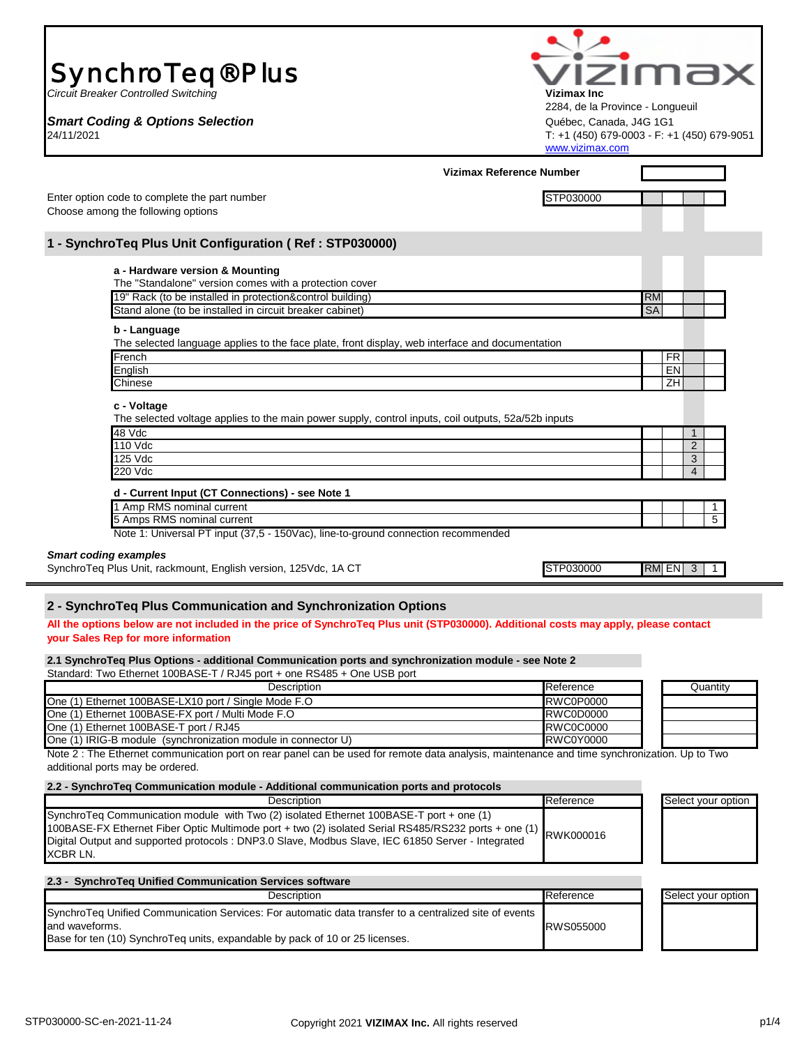| Vizimax Reference Number<br>STP030000<br>a - Hardware version & Mounting<br>The "Standalone" version comes with a protection cover<br>19" Rack (to be installed in protection&control building)<br><b>RM</b><br><b>SA</b><br>Stand alone (to be installed in circuit breaker cabinet)<br>b - Language<br>The selected language applies to the face plate, front display, web interface and documentation<br>FR<br>French<br>EN<br>English<br>ZH<br>Chinese<br>c - Voltage<br>The selected voltage applies to the main power supply, control inputs, coil outputs, 52a/52b inputs<br>48 Vdc<br>1<br>110 Vdc<br>$\overline{2}$<br>125 Vdc<br>3<br>220 Vdc<br>$\overline{4}$<br>d - Current Input (CT Connections) - see Note 1<br>1 Amp RMS nominal current<br>1<br>5 Amps RMS nominal current<br>5<br>Note 1: Universal PT input (37,5 - 150Vac), line-to-ground connection recommended<br>STP030000<br>$RM$ EN $3$<br>1<br>All the options below are not included in the price of SynchroTeq Plus unit (STP030000). Additional costs may apply, please contact<br>2.1 SynchroTeg Plus Options - additional Communication ports and synchronization module - see Note 2<br>Description<br>Reference<br>Quantity<br>One (1) Ethernet 100BASE-LX10 port / Single Mode F.O<br><b>RWC0P0000</b><br>One (1) Ethernet 100BASE-FX port / Multi Mode F.O.<br><b>RWC0D0000</b><br>One (1) Ethernet 100BASE-T port / RJ45<br><b>RWC0C0000</b><br>RWC0Y0000<br>Note 2 : The Ethernet communication port on rear panel can be used for remote data analysis, maintenance and time synchronization. Up to Two<br>Reference<br>Description<br>Select your option<br>100BASE-FX Ethernet Fiber Optic Multimode port + two (2) isolated Serial RS485/RS232 ports + one (1)<br>RWK000016<br>Reference<br>Select your option<br>Description<br>SynchroTeq Unified Communication Services: For automatic data transfer to a centralized site of events<br>RWS055000 | SynchroTeq <sup>®</sup> Plus<br><b>Circuit Breaker Controlled Switching</b><br><b>Smart Coding &amp; Options Selection</b><br>24/11/2021                                                                  | Vizimax Inc<br>2284, de la Province - Longueuil<br>Québec, Canada, J4G 1G1<br>www.vizimax.com | izima<br>T: +1 (450) 679-0003 - F: +1 (450) 679-9051 |
|-------------------------------------------------------------------------------------------------------------------------------------------------------------------------------------------------------------------------------------------------------------------------------------------------------------------------------------------------------------------------------------------------------------------------------------------------------------------------------------------------------------------------------------------------------------------------------------------------------------------------------------------------------------------------------------------------------------------------------------------------------------------------------------------------------------------------------------------------------------------------------------------------------------------------------------------------------------------------------------------------------------------------------------------------------------------------------------------------------------------------------------------------------------------------------------------------------------------------------------------------------------------------------------------------------------------------------------------------------------------------------------------------------------------------------------------------------------------------------------------------------------------------------------------------------------------------------------------------------------------------------------------------------------------------------------------------------------------------------------------------------------------------------------------------------------------------------------------------------------------------------------------------------------------------------------------------|-----------------------------------------------------------------------------------------------------------------------------------------------------------------------------------------------------------|-----------------------------------------------------------------------------------------------|------------------------------------------------------|
|                                                                                                                                                                                                                                                                                                                                                                                                                                                                                                                                                                                                                                                                                                                                                                                                                                                                                                                                                                                                                                                                                                                                                                                                                                                                                                                                                                                                                                                                                                                                                                                                                                                                                                                                                                                                                                                                                                                                                 |                                                                                                                                                                                                           |                                                                                               |                                                      |
|                                                                                                                                                                                                                                                                                                                                                                                                                                                                                                                                                                                                                                                                                                                                                                                                                                                                                                                                                                                                                                                                                                                                                                                                                                                                                                                                                                                                                                                                                                                                                                                                                                                                                                                                                                                                                                                                                                                                                 | Enter option code to complete the part number<br>Choose among the following options                                                                                                                       |                                                                                               |                                                      |
|                                                                                                                                                                                                                                                                                                                                                                                                                                                                                                                                                                                                                                                                                                                                                                                                                                                                                                                                                                                                                                                                                                                                                                                                                                                                                                                                                                                                                                                                                                                                                                                                                                                                                                                                                                                                                                                                                                                                                 | 1 - SynchroTeq Plus Unit Configuration (Ref: STP030000)                                                                                                                                                   |                                                                                               |                                                      |
|                                                                                                                                                                                                                                                                                                                                                                                                                                                                                                                                                                                                                                                                                                                                                                                                                                                                                                                                                                                                                                                                                                                                                                                                                                                                                                                                                                                                                                                                                                                                                                                                                                                                                                                                                                                                                                                                                                                                                 |                                                                                                                                                                                                           |                                                                                               |                                                      |
|                                                                                                                                                                                                                                                                                                                                                                                                                                                                                                                                                                                                                                                                                                                                                                                                                                                                                                                                                                                                                                                                                                                                                                                                                                                                                                                                                                                                                                                                                                                                                                                                                                                                                                                                                                                                                                                                                                                                                 |                                                                                                                                                                                                           |                                                                                               |                                                      |
|                                                                                                                                                                                                                                                                                                                                                                                                                                                                                                                                                                                                                                                                                                                                                                                                                                                                                                                                                                                                                                                                                                                                                                                                                                                                                                                                                                                                                                                                                                                                                                                                                                                                                                                                                                                                                                                                                                                                                 |                                                                                                                                                                                                           |                                                                                               |                                                      |
|                                                                                                                                                                                                                                                                                                                                                                                                                                                                                                                                                                                                                                                                                                                                                                                                                                                                                                                                                                                                                                                                                                                                                                                                                                                                                                                                                                                                                                                                                                                                                                                                                                                                                                                                                                                                                                                                                                                                                 |                                                                                                                                                                                                           |                                                                                               |                                                      |
|                                                                                                                                                                                                                                                                                                                                                                                                                                                                                                                                                                                                                                                                                                                                                                                                                                                                                                                                                                                                                                                                                                                                                                                                                                                                                                                                                                                                                                                                                                                                                                                                                                                                                                                                                                                                                                                                                                                                                 |                                                                                                                                                                                                           |                                                                                               |                                                      |
|                                                                                                                                                                                                                                                                                                                                                                                                                                                                                                                                                                                                                                                                                                                                                                                                                                                                                                                                                                                                                                                                                                                                                                                                                                                                                                                                                                                                                                                                                                                                                                                                                                                                                                                                                                                                                                                                                                                                                 |                                                                                                                                                                                                           |                                                                                               |                                                      |
|                                                                                                                                                                                                                                                                                                                                                                                                                                                                                                                                                                                                                                                                                                                                                                                                                                                                                                                                                                                                                                                                                                                                                                                                                                                                                                                                                                                                                                                                                                                                                                                                                                                                                                                                                                                                                                                                                                                                                 | <b>Smart coding examples</b><br>SynchroTeq Plus Unit, rackmount, English version, 125Vdc, 1A CT                                                                                                           |                                                                                               |                                                      |
|                                                                                                                                                                                                                                                                                                                                                                                                                                                                                                                                                                                                                                                                                                                                                                                                                                                                                                                                                                                                                                                                                                                                                                                                                                                                                                                                                                                                                                                                                                                                                                                                                                                                                                                                                                                                                                                                                                                                                 | 2 - SynchroTeq Plus Communication and Synchronization Options<br>your Sales Rep for more information                                                                                                      |                                                                                               |                                                      |
|                                                                                                                                                                                                                                                                                                                                                                                                                                                                                                                                                                                                                                                                                                                                                                                                                                                                                                                                                                                                                                                                                                                                                                                                                                                                                                                                                                                                                                                                                                                                                                                                                                                                                                                                                                                                                                                                                                                                                 | Standard: Two Ethernet 100BASE-T / RJ45 port + one RS485 + One USB port                                                                                                                                   |                                                                                               |                                                      |
|                                                                                                                                                                                                                                                                                                                                                                                                                                                                                                                                                                                                                                                                                                                                                                                                                                                                                                                                                                                                                                                                                                                                                                                                                                                                                                                                                                                                                                                                                                                                                                                                                                                                                                                                                                                                                                                                                                                                                 |                                                                                                                                                                                                           |                                                                                               |                                                      |
|                                                                                                                                                                                                                                                                                                                                                                                                                                                                                                                                                                                                                                                                                                                                                                                                                                                                                                                                                                                                                                                                                                                                                                                                                                                                                                                                                                                                                                                                                                                                                                                                                                                                                                                                                                                                                                                                                                                                                 |                                                                                                                                                                                                           |                                                                                               |                                                      |
|                                                                                                                                                                                                                                                                                                                                                                                                                                                                                                                                                                                                                                                                                                                                                                                                                                                                                                                                                                                                                                                                                                                                                                                                                                                                                                                                                                                                                                                                                                                                                                                                                                                                                                                                                                                                                                                                                                                                                 | One (1) IRIG-B module (synchronization module in connector U)<br>additional ports may be ordered.                                                                                                         |                                                                                               |                                                      |
|                                                                                                                                                                                                                                                                                                                                                                                                                                                                                                                                                                                                                                                                                                                                                                                                                                                                                                                                                                                                                                                                                                                                                                                                                                                                                                                                                                                                                                                                                                                                                                                                                                                                                                                                                                                                                                                                                                                                                 | 2.2 - SynchroTeq Communication module - Additional communication ports and protocols                                                                                                                      |                                                                                               |                                                      |
|                                                                                                                                                                                                                                                                                                                                                                                                                                                                                                                                                                                                                                                                                                                                                                                                                                                                                                                                                                                                                                                                                                                                                                                                                                                                                                                                                                                                                                                                                                                                                                                                                                                                                                                                                                                                                                                                                                                                                 | SynchroTeq Communication module with Two (2) isolated Ethernet 100BASE-T port + one (1)<br>Digital Output and supported protocols : DNP3.0 Slave, Modbus Slave, IEC 61850 Server - Integrated<br>XCBR LN. |                                                                                               |                                                      |
|                                                                                                                                                                                                                                                                                                                                                                                                                                                                                                                                                                                                                                                                                                                                                                                                                                                                                                                                                                                                                                                                                                                                                                                                                                                                                                                                                                                                                                                                                                                                                                                                                                                                                                                                                                                                                                                                                                                                                 | 2.3 - SynchroTeg Unified Communication Services software                                                                                                                                                  |                                                                                               |                                                      |
|                                                                                                                                                                                                                                                                                                                                                                                                                                                                                                                                                                                                                                                                                                                                                                                                                                                                                                                                                                                                                                                                                                                                                                                                                                                                                                                                                                                                                                                                                                                                                                                                                                                                                                                                                                                                                                                                                                                                                 | and waveforms.<br>Base for ten (10) SynchroTeq units, expandable by pack of 10 or 25 licenses.                                                                                                            |                                                                                               |                                                      |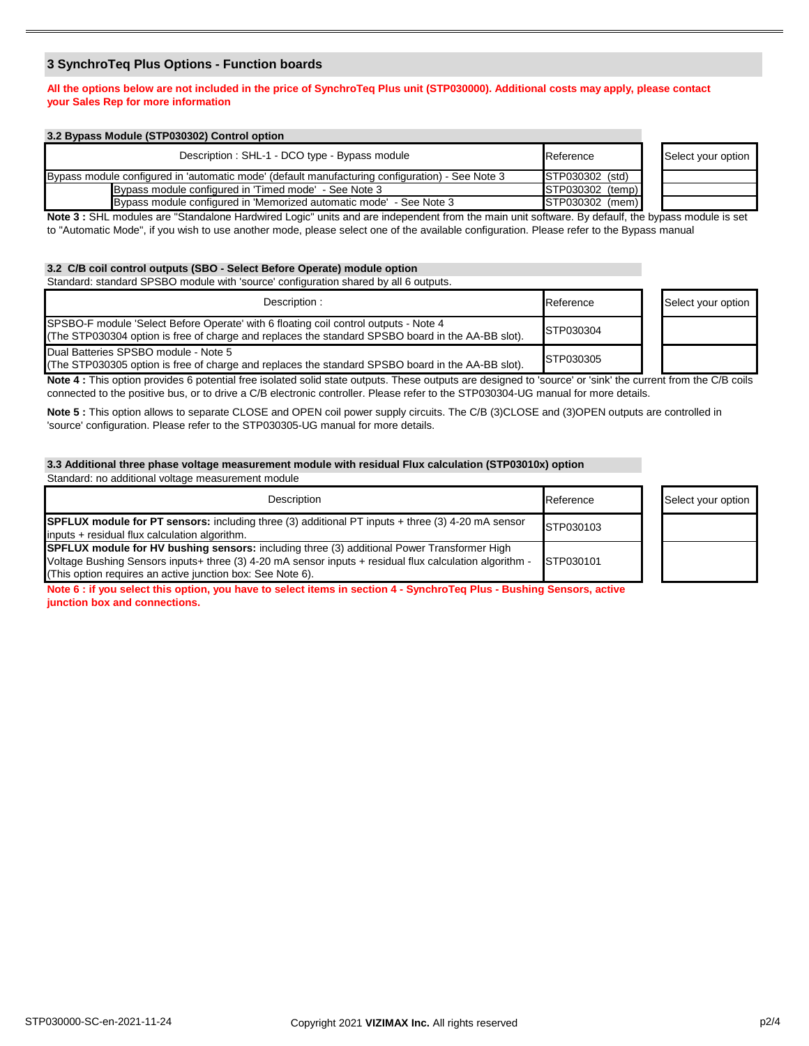# **3 SynchroTeq Plus Options - Function boards**

# **All the options below are not included in the price of SynchroTeq Plus unit (STP030000). Additional costs may apply, please contact your Sales Rep for more information**

| 3.2 Bypass Module (STP030302) Control option                                                    |                  |                    |
|-------------------------------------------------------------------------------------------------|------------------|--------------------|
| Description: SHL-1 - DCO type - Bypass module                                                   | Reference        | Select your option |
| Bypass module configured in 'automatic mode' (default manufacturing configuration) - See Note 3 | STP030302 (std)  |                    |
| Bypass module configured in 'Timed mode' - See Note 3                                           | STP030302 (temp) |                    |
| Bypass module configured in 'Memorized automatic mode' - See Note 3                             | STP030302 (mem)  |                    |
|                                                                                                 | _                |                    |

**Note 3 :** SHL modules are "Standalone Hardwired Logic" units and are independent from the main unit software. By defaulf, the bypass module is set to "Automatic Mode", if you wish to use another mode, please select one of the available configuration. Please refer to the Bypass manual

# **3.2 C/B coil control outputs (SBO - Select Before Operate) module option**

Standard: standard SPSBO module with 'source' configuration shared by all 6 outputs.

| Description:                                                                                                                                                                              | Reference | Select your option |
|-------------------------------------------------------------------------------------------------------------------------------------------------------------------------------------------|-----------|--------------------|
| SPSBO-F module 'Select Before Operate' with 6 floating coil control outputs - Note 4<br>(The STP030304 option is free of charge and replaces the standard SPSBO board in the AA-BB slot). | STP030304 |                    |
| Dual Batteries SPSBO module - Note 5<br>(The STP030305 option is free of charge and replaces the standard SPSBO board in the AA-BB slot).                                                 | STP030305 |                    |

Note 4 : This option provides 6 potential free isolated solid state outputs. These outputs are designed to 'source' or 'sink' the current from the C/B coils connected to the positive bus, or to drive a C/B electronic controller. Please refer to the STP030304-UG manual for more details.

**Note 5 :** This option allows to separate CLOSE and OPEN coil power supply circuits. The C/B (3)CLOSE and (3)OPEN outputs are controlled in 'source' configuration. Please refer to the STP030305-UG manual for more details.

### **3.3 Additional three phase voltage measurement module with residual Flux calculation (STP03010x) option**

Standard: no additional voltage measurement module Reference **Select your option** STP030103 STP030101 Description **SPFLUX module for PT sensors:** including three (3) additional PT inputs + three (3) 4-20 mA sensor inputs + residual flux calculation algorithm. **SPFLUX module for HV bushing sensors:** including three (3) additional Power Transformer High Voltage Bushing Sensors inputs+ three (3) 4-20 mA sensor inputs + residual flux calculation algorithm - (This option requires an active junction box: See Note 6).

**Note 6 : if you select this option, you have to select items in section 4 - SynchroTeq Plus - Bushing Sensors, active junction box and connections.**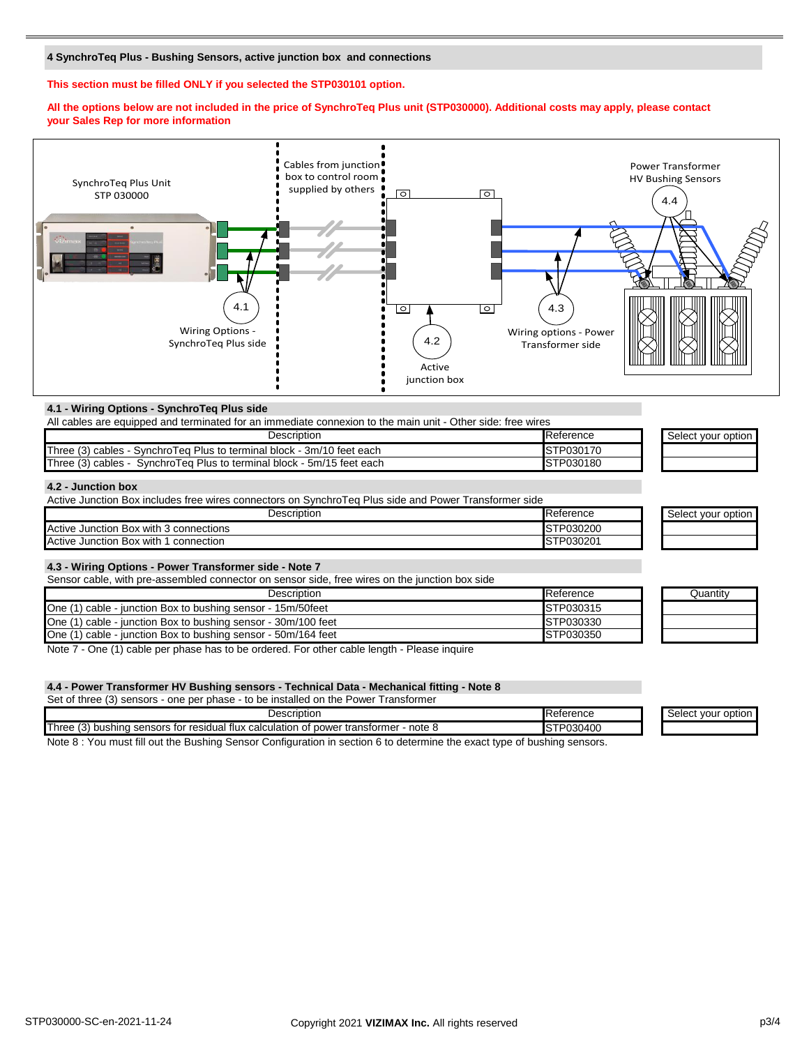### **4 SynchroTeq Plus - Bushing Sensors, active junction box and connections**

#### **This section must be filled ONLY if you selected the STP030101 option.**

#### **All the options below are not included in the price of SynchroTeq Plus unit (STP030000). Additional costs may apply, please contact your Sales Rep for more information**



#### **4.1 - Wiring Options - SynchroTeq Plus side**

| All cables are equipped and terminated for an immediate connexion to the main unit - Other side: free wires |                  |                    |
|-------------------------------------------------------------------------------------------------------------|------------------|--------------------|
| Description                                                                                                 | Reference        | Select vour option |
| Three (3) cables - SynchroTeg Plus to terminal block - 3m/10 feet each                                      | <b>STP030170</b> |                    |
| Three (3) cables - SynchroTeg Plus to terminal block - 5m/15 feet each                                      | <b>STP030180</b> |                    |

### **4.2 - Junction box**

| Active Junction Box includes free wires connectors on SynchroTeg Plus side and Power Transformer side |                   |                    |
|-------------------------------------------------------------------------------------------------------|-------------------|--------------------|
| Description                                                                                           | <b>IReference</b> | Select your option |
| Active Junction Box with 3 connections                                                                | STP030200         |                    |
| Active Junction Box with 1 connection                                                                 | <b>ISTP030201</b> |                    |

#### **4.3 - Wiring Options - Power Transformer side - Note 7**

Sensor cable, with pre-assembled connector on sensor side, free wires on the junction box side

| Description                                                   | Reference        | Juantity |
|---------------------------------------------------------------|------------------|----------|
| One (1) cable - junction Box to bushing sensor - 15m/50feet   | <b>STP030315</b> |          |
| One (1) cable - junction Box to bushing sensor - 30m/100 feet | <b>STP030330</b> |          |
| One (1) cable - junction Box to bushing sensor - 50m/164 feet | <b>STP030350</b> |          |

Note 7 - One (1) cable per phase has to be ordered. For other cable length - Please inquire

#### **4.4 - Power Transformer HV Bushing sensors - Technical Data - Mechanical fitting - Note 8**

Set of three (3) sensors - one per phase - to be installed on the Power Transformer

| Description<br>Reference                                                                                                                                                        | : option<br>. vour<br>יטטוטי |
|---------------------------------------------------------------------------------------------------------------------------------------------------------------------------------|------------------------------|
| <b>Three</b><br>$\sim$<br>'030400<br>. DOQC<br>note د<br>for<br>· resid<br>power transformer<br>sensors<br>tlux<br>…ual t"<br>ulation<br>calcu<br>bushina<br>$-+$<br>ا ف ا<br>. |                              |
| <br>$\sim$ $\sim$<br>-<br>__<br>-<br>$\sim$<br>__<br>.                                                                                                                          |                              |

Note 8 : You must fill out the Bushing Sensor Configuration in section 6 to determine the exact type of bushing sensors.

| Quantity |  |
|----------|--|
|          |  |
|          |  |
|          |  |